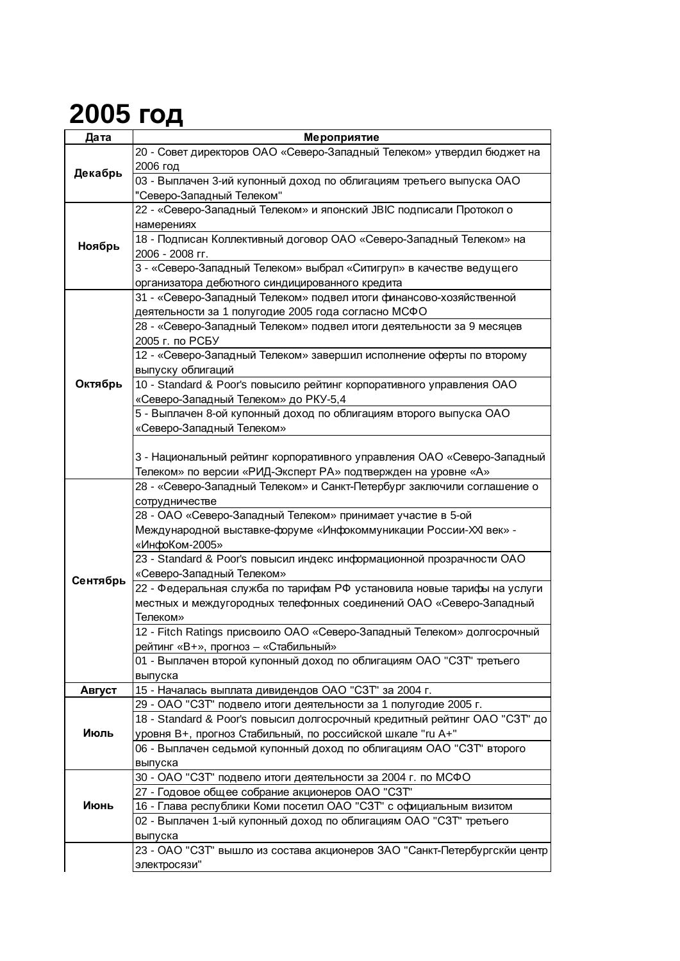## **2005 год**

| Дата     | Мероприятие                                                                |
|----------|----------------------------------------------------------------------------|
| Декабрь  | 20 - Совет директоров ОАО «Северо-Западный Телеком» утвердил бюджет на     |
|          | 2006 год                                                                   |
|          | 03 - Выплачен 3-ий купонный доход по облигациям третьего выпуска ОАО       |
|          | "Северо-Западный Телеком"                                                  |
| Ноябрь   | 22 - «Северо-Западный Телеком» и японский JBIC подписали Протокол о        |
|          | намерениях                                                                 |
|          | 18 - Подписан Коллективный договор ОАО «Северо-Западный Телеком» на        |
|          | 2006 - 2008 гг.                                                            |
|          | 3 - «Северо-Западный Телеком» выбрал «Ситигруп» в качестве ведущего        |
|          | организатора дебютного синдицированного кредита                            |
|          | 31 - «Северо-Западный Телеком» подвел итоги финансово-хозяйственной        |
| Октябрь  | деятельности за 1 полугодие 2005 года согласно МСФО                        |
|          | 28 - «Северо-Западный Телеком» подвел итоги деятельности за 9 месяцев      |
|          | 2005 г. по РСБУ                                                            |
|          | 12 - «Северо-Западный Телеком» завершил исполнение оферты по второму       |
|          | выпуску облигаций                                                          |
|          | 10 - Standard & Poor's повысило рейтинг корпоративного управления ОАО      |
|          | «Северо-Западный Телеком» до РКУ-5,4                                       |
|          | 5 - Выплачен 8-ой купонный доход по облигациям второго выпуска ОАО         |
|          | «Северо-Западный Телеком»                                                  |
|          |                                                                            |
|          | 3 - Национальный рейтинг корпоративного управления ОАО «Северо-Западный    |
|          | Телеком» по версии «РИД-Эксперт РА» подтвержден на уровне «А»              |
|          | 28 - «Северо-Западный Телеком» и Санкт-Петербург заключили соглашение о    |
| Сентябрь | сотрудничестве                                                             |
|          | 28 - ОАО «Северо-Западный Телеком» принимает участие в 5-ой                |
|          | Международной выставке-форуме «Инфокоммуникации России-XXI век» -          |
|          | «ИнфоКом-2005»                                                             |
|          | 23 - Standard & Poor's повысил индекс информационной прозрачности ОАО      |
|          | «Северо-Западный Телеком»                                                  |
|          | 22 - Федеральная служба по тарифам РФ установила новые тарифы на услуги    |
|          | местных и междугородных телефонных соединений ОАО «Северо-Западный         |
|          | Телеком»                                                                   |
|          | 12 - Fitch Ratings присвоило ОАО «Северо-Западный Телеком» долгосрочный    |
|          | рейтинг «В+», прогноз - «Стабильный»                                       |
|          | 01 - Выплачен второй купонный доход по облигациям ОАО "СЗТ" третьего       |
|          | выпуска                                                                    |
| Август   | 15 - Началась выплата дивидендов ОАО "СЗТ" за 2004 г.                      |
| Июль     | 29 - ОАО "СЗТ" подвело итоги деятельности за 1 полугодие 2005 г.           |
|          | 18 - Standard & Poor's повысил долгосрочный кредитный рейтинг ОАО "СЗТ" до |
|          | уровня В+, прогноз Стабильный, по российской шкале "ru A+"                 |
|          | 06 - Выплачен седьмой купонный доход по облигациям ОАО "СЗТ" второго       |
|          | выпуска                                                                    |
| Июнь     | 30 - ОАО "СЗТ" подвело итоги деятельности за 2004 г. по МСФО               |
|          | 27 - Годовое общее собрание акционеров ОАО "СЗТ"                           |
|          | 16 - Глава республики Коми посетил ОАО "СЗТ" с официальным визитом         |
|          | 02 - Выплачен 1-ый купонный доход по облигациям ОАО "СЗТ" третьего         |
|          | выпуска                                                                    |
|          | 23 - ОАО "СЗТ" вышло из состава акционеров ЗАО "Санкт-Петербургскйи центр  |
|          | электросязи"                                                               |
|          |                                                                            |